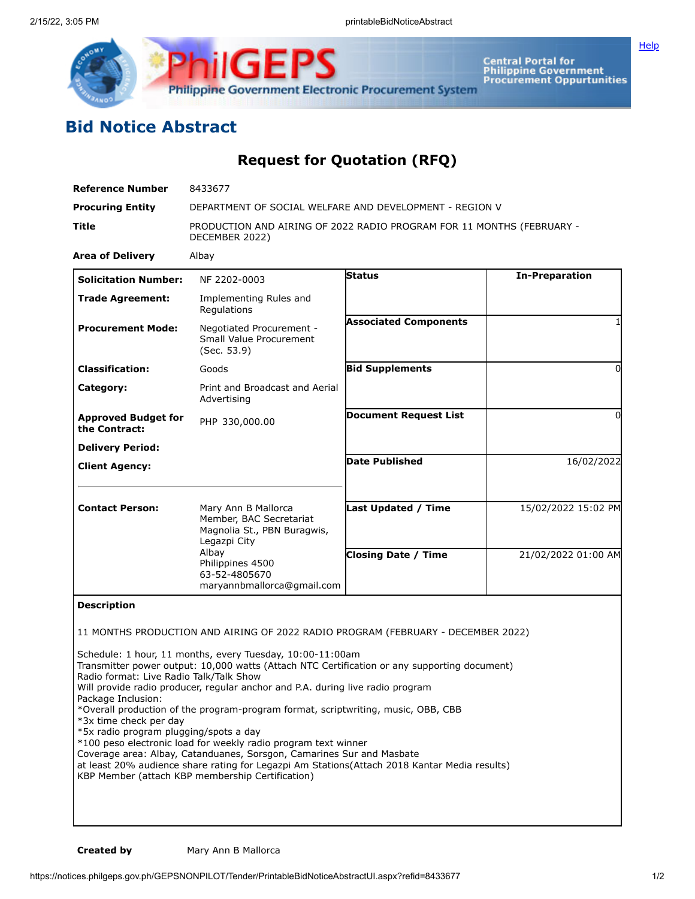

**Central Portal for<br>Philippine Government<br>Procurement Oppurtunities** 

## **Bid Notice Abstract**

## **Request for Quotation (RFQ)**

| <b>Reference Number</b>                                                                                                           | 8433677                                                                                                                                                                                                                                                                                                                                                                                                                                                                                                                                                                                                                         |                              |                       |
|-----------------------------------------------------------------------------------------------------------------------------------|---------------------------------------------------------------------------------------------------------------------------------------------------------------------------------------------------------------------------------------------------------------------------------------------------------------------------------------------------------------------------------------------------------------------------------------------------------------------------------------------------------------------------------------------------------------------------------------------------------------------------------|------------------------------|-----------------------|
| <b>Procuring Entity</b>                                                                                                           | DEPARTMENT OF SOCIAL WELFARE AND DEVELOPMENT - REGION V                                                                                                                                                                                                                                                                                                                                                                                                                                                                                                                                                                         |                              |                       |
| Title                                                                                                                             | PRODUCTION AND AIRING OF 2022 RADIO PROGRAM FOR 11 MONTHS (FEBRUARY -<br>DECEMBER 2022)                                                                                                                                                                                                                                                                                                                                                                                                                                                                                                                                         |                              |                       |
| <b>Area of Delivery</b>                                                                                                           | Albay                                                                                                                                                                                                                                                                                                                                                                                                                                                                                                                                                                                                                           |                              |                       |
| <b>Solicitation Number:</b>                                                                                                       | NF 2202-0003                                                                                                                                                                                                                                                                                                                                                                                                                                                                                                                                                                                                                    | <b>Status</b>                | <b>In-Preparation</b> |
| <b>Trade Agreement:</b>                                                                                                           | Implementing Rules and<br>Regulations                                                                                                                                                                                                                                                                                                                                                                                                                                                                                                                                                                                           |                              |                       |
| <b>Procurement Mode:</b>                                                                                                          | Negotiated Procurement -<br>Small Value Procurement<br>(Sec. 53.9)                                                                                                                                                                                                                                                                                                                                                                                                                                                                                                                                                              | <b>Associated Components</b> |                       |
| <b>Classification:</b>                                                                                                            | Goods                                                                                                                                                                                                                                                                                                                                                                                                                                                                                                                                                                                                                           | <b>Bid Supplements</b>       | $\Omega$              |
| Category:                                                                                                                         | Print and Broadcast and Aerial<br>Advertising                                                                                                                                                                                                                                                                                                                                                                                                                                                                                                                                                                                   |                              |                       |
| <b>Approved Budget for</b><br>the Contract:                                                                                       | PHP 330,000.00                                                                                                                                                                                                                                                                                                                                                                                                                                                                                                                                                                                                                  | <b>Document Request List</b> | $\Omega$              |
| <b>Delivery Period:</b>                                                                                                           |                                                                                                                                                                                                                                                                                                                                                                                                                                                                                                                                                                                                                                 |                              |                       |
| <b>Client Agency:</b>                                                                                                             |                                                                                                                                                                                                                                                                                                                                                                                                                                                                                                                                                                                                                                 | <b>Date Published</b>        | 16/02/2022            |
| <b>Contact Person:</b>                                                                                                            | Mary Ann B Mallorca<br>Member, BAC Secretariat<br>Magnolia St., PBN Buragwis,<br>Legazpi City<br>Albay<br>Philippines 4500<br>63-52-4805670<br>maryannbmallorca@gmail.com                                                                                                                                                                                                                                                                                                                                                                                                                                                       | <b>Last Updated / Time</b>   | 15/02/2022 15:02 PM   |
|                                                                                                                                   |                                                                                                                                                                                                                                                                                                                                                                                                                                                                                                                                                                                                                                 | <b>Closing Date / Time</b>   | 21/02/2022 01:00 AM   |
| <b>Description</b>                                                                                                                |                                                                                                                                                                                                                                                                                                                                                                                                                                                                                                                                                                                                                                 |                              |                       |
|                                                                                                                                   | 11 MONTHS PRODUCTION AND AIRING OF 2022 RADIO PROGRAM (FEBRUARY - DECEMBER 2022)                                                                                                                                                                                                                                                                                                                                                                                                                                                                                                                                                |                              |                       |
| Radio format: Live Radio Talk/Talk Show<br>Package Inclusion:<br>*3x time check per day<br>*5x radio program plugging/spots a day | Schedule: 1 hour, 11 months, every Tuesday, 10:00-11:00am<br>Transmitter power output: 10,000 watts (Attach NTC Certification or any supporting document)<br>Will provide radio producer, regular anchor and P.A. during live radio program<br>*Overall production of the program-program format, scriptwriting, music, OBB, CBB<br>*100 peso electronic load for weekly radio program text winner<br>Coverage area: Albay, Catanduanes, Sorsgon, Camarines Sur and Masbate<br>at least 20% audience share rating for Legazpi Am Stations(Attach 2018 Kantar Media results)<br>KBP Member (attach KBP membership Certification) |                              |                       |